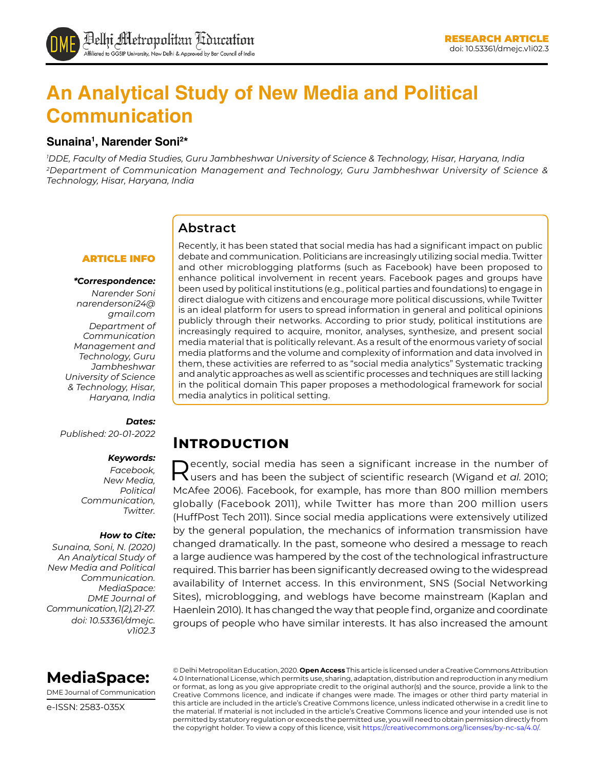# **An Analytical Study of New Media and Political Communication**

#### **Sunaina1 , Narender Soni2 \***

*1 DDE, Faculty of Media Studies, Guru Jambheshwar University of Science & Technology, Hisar, Haryana, India 2Department of Communication Management and Technology, Guru Jambheshwar University of Science & Technology, Hisar, Haryana, India*

#### **Abstract**

#### ARTICLE INFO

#### *\*Correspondence:*

*Narender Soni narendersoni24@ gmail.com Department of Communication Management and Technology, Guru Jambheshwar University of Science & Technology, Hisar, Haryana, India*

#### *Dates:*

*Published: 20-01-2022*

#### *Keywords:*

*Facebook, New Media, Political Communication, Twitter.* 

#### *How to Cite:*

*Sunaina, Soni, N. (2020) An Analytical Study of New Media and Political Communication. MediaSpace: DME Journal of Communication, 1(2), 21-27. doi: 10.53361/dmejc. v1i02.3* Recently, it has been stated that social media has had a significant impact on public debate and communication. Politicians are increasingly utilizing social media. Twitter and other microblogging platforms (such as Facebook) have been proposed to enhance political involvement in recent years. Facebook pages and groups have been used by political institutions (e.g., political parties and foundations) to engage in direct dialogue with citizens and encourage more political discussions, while Twitter is an ideal platform for users to spread information in general and political opinions publicly through their networks. According to prior study, political institutions are increasingly required to acquire, monitor, analyses, synthesize, and present social media material that is politically relevant. As a result of the enormous variety of social media platforms and the volume and complexity of information and data involved in them, these activities are referred to as "social media analytics" Systematic tracking and analytic approaches as well as scientific processes and techniques are still lacking in the political domain This paper proposes a methodological framework for social media analytics in political setting.

### **Introduction**

Recently, social media has seen a significant increase in the number of users and has been the subject of scientific research (Wigand *et al*. 2010; McAfee 2006). Facebook, for example, has more than 800 million members globally (Facebook 2011), while Twitter has more than 200 million users (HuffPost Tech 2011). Since social media applications were extensively utilized by the general population, the mechanics of information transmission have changed dramatically. In the past, someone who desired a message to reach a large audience was hampered by the cost of the technological infrastructure required. This barrier has been significantly decreased owing to the widespread availability of Internet access. In this environment, SNS (Social Networking Sites), microblogging, and weblogs have become mainstream (Kaplan and Haenlein 2010). It has changed the way that people find, organize and coordinate groups of people who have similar interests. It has also increased the amount



DME Journal of Communication

e-ISSN: 2583-035X

© Delhi Metropolitan Education, 2020. **Open Access** This article is licensed under a Creative Commons Attribution 4.0 International License, which permits use, sharing, adaptation, distribution and reproduction in any medium or format, as long as you give appropriate credit to the original author(s) and the source, provide a link to the Creative Commons licence, and indicate if changes were made. The images or other third party material in this article are included in the article's Creative Commons licence, unless indicated otherwise in a credit line to the material. If material is not included in the article's Creative Commons licence and your intended use is not permitted by statutory regulation or exceeds the permitted use, you will need to obtain permission directly from the copyright holder. To view a copy of this licence, visit https://creativecommons.org/licenses/by-nc-sa/4.0/.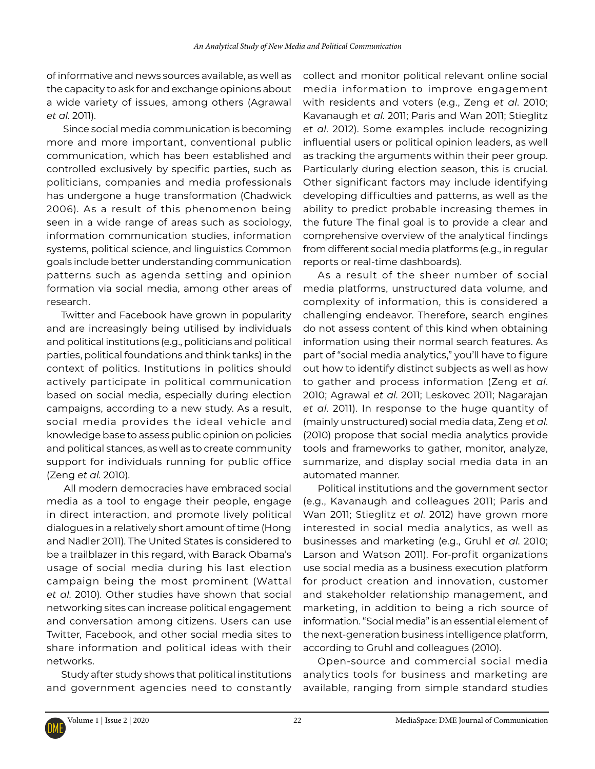of informative and news sources available, as well as the capacity to ask for and exchange opinions about a wide variety of issues, among others (Agrawal *et al*. 2011).

 Since social media communication is becoming more and more important, conventional public communication, which has been established and controlled exclusively by specific parties, such as politicians, companies and media professionals has undergone a huge transformation (Chadwick 2006). As a result of this phenomenon being seen in a wide range of areas such as sociology, information communication studies, information systems, political science, and linguistics Common goals include better understanding communication patterns such as agenda setting and opinion formation via social media, among other areas of research.

Twitter and Facebook have grown in popularity and are increasingly being utilised by individuals and political institutions (e.g., politicians and political parties, political foundations and think tanks) in the context of politics. Institutions in politics should actively participate in political communication based on social media, especially during election campaigns, according to a new study. As a result, social media provides the ideal vehicle and knowledge base to assess public opinion on policies and political stances, as well as to create community support for individuals running for public office (Zeng *et al*. 2010).

 All modern democracies have embraced social media as a tool to engage their people, engage in direct interaction, and promote lively political dialogues in a relatively short amount of time (Hong and Nadler 2011). The United States is considered to be a trailblazer in this regard, with Barack Obama's usage of social media during his last election campaign being the most prominent (Wattal *et al*. 2010). Other studies have shown that social networking sites can increase political engagement and conversation among citizens. Users can use Twitter, Facebook, and other social media sites to share information and political ideas with their networks.

Study after study shows that political institutions and government agencies need to constantly collect and monitor political relevant online social media information to improve engagement with residents and voters (e.g., Zeng *et al*. 2010; Kavanaugh *et al*. 2011; Paris and Wan 2011; Stieglitz *et al*. 2012). Some examples include recognizing influential users or political opinion leaders, as well as tracking the arguments within their peer group. Particularly during election season, this is crucial. Other significant factors may include identifying developing difficulties and patterns, as well as the ability to predict probable increasing themes in the future The final goal is to provide a clear and comprehensive overview of the analytical findings from different social media platforms (e.g., in regular reports or real-time dashboards).

As a result of the sheer number of social media platforms, unstructured data volume, and complexity of information, this is considered a challenging endeavor. Therefore, search engines do not assess content of this kind when obtaining information using their normal search features. As part of "social media analytics," you'll have to figure out how to identify distinct subjects as well as how to gather and process information (Zeng *et al*. 2010; Agrawal *et al*. 2011; Leskovec 2011; Nagarajan *et al*. 2011). In response to the huge quantity of (mainly unstructured) social media data, Zeng *et al*. (2010) propose that social media analytics provide tools and frameworks to gather, monitor, analyze, summarize, and display social media data in an automated manner.

Political institutions and the government sector (e.g., Kavanaugh and colleagues 2011; Paris and Wan 2011; Stieglitz *et al*. 2012) have grown more interested in social media analytics, as well as businesses and marketing (e.g., Gruhl *et al*. 2010; Larson and Watson 2011). For-profit organizations use social media as a business execution platform for product creation and innovation, customer and stakeholder relationship management, and marketing, in addition to being a rich source of information. "Social media" is an essential element of the next-generation business intelligence platform, according to Gruhl and colleagues (2010).

Open-source and commercial social media analytics tools for business and marketing are available, ranging from simple standard studies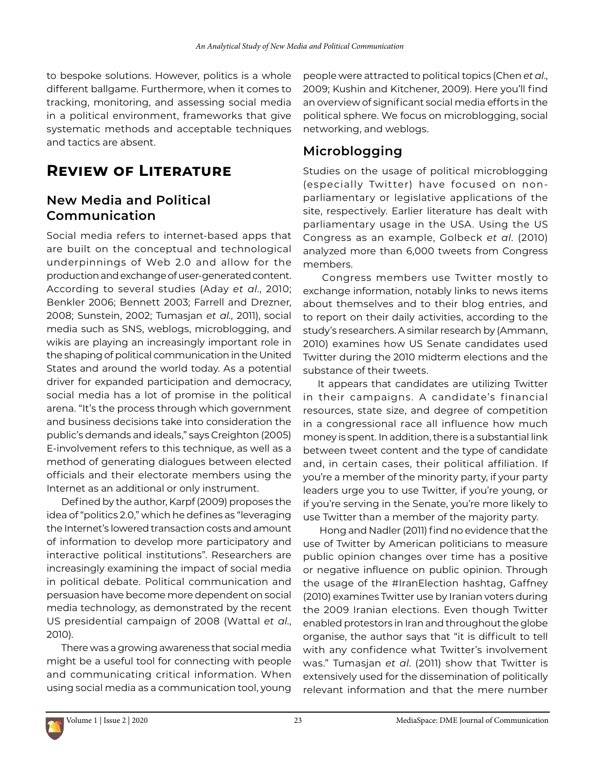to bespoke solutions. However, politics is a whole different ballgame. Furthermore, when it comes to tracking, monitoring, and assessing social media in a political environment, frameworks that give systematic methods and acceptable techniques and tactics are absent.

## **Review of Literature**

### **New Media and Political Communication**

Social media refers to internet-based apps that are built on the conceptual and technological underpinnings of Web 2.0 and allow for the production and exchange of user-generated content. According to several studies (Aday *et al*., 2010; Benkler 2006; Bennett 2003; Farrell and Drezner, 2008; Sunstein, 2002; Tumasjan *et al*., 2011), social media such as SNS, weblogs, microblogging, and wikis are playing an increasingly important role in the shaping of political communication in the United States and around the world today. As a potential driver for expanded participation and democracy, social media has a lot of promise in the political arena. "It's the process through which government and business decisions take into consideration the public's demands and ideals," says Creighton (2005) E-involvement refers to this technique, as well as a method of generating dialogues between elected officials and their electorate members using the Internet as an additional or only instrument.

Defined by the author, Karpf (2009) proposes the idea of "politics 2.0," which he defines as "leveraging the Internet's lowered transaction costs and amount of information to develop more participatory and interactive political institutions". Researchers are increasingly examining the impact of social media in political debate. Political communication and persuasion have become more dependent on social media technology, as demonstrated by the recent US presidential campaign of 2008 (Wattal *et al*., 2010).

There was a growing awareness that social media might be a useful tool for connecting with people and communicating critical information. When using social media as a communication tool, young

people were attracted to political topics (Chen *et al*., 2009; Kushin and Kitchener, 2009). Here you'll find an overview of significant social media efforts in the political sphere. We focus on microblogging, social networking, and weblogs.

### **Microblogging**

Studies on the usage of political microblogging (especially Twitter) have focused on nonparliamentary or legislative applications of the site, respectively. Earlier literature has dealt with parliamentary usage in the USA. Using the US Congress as an example, Golbeck *et al*. (2010) analyzed more than 6,000 tweets from Congress members.

 Congress members use Twitter mostly to exchange information, notably links to news items about themselves and to their blog entries, and to report on their daily activities, according to the study's researchers. A similar research by (Ammann, 2010) examines how US Senate candidates used Twitter during the 2010 midterm elections and the substance of their tweets.

It appears that candidates are utilizing Twitter in their campaigns. A candidate's financial resources, state size, and degree of competition in a congressional race all influence how much money is spent. In addition, there is a substantial link between tweet content and the type of candidate and, in certain cases, their political affiliation. If you're a member of the minority party, if your party leaders urge you to use Twitter, if you're young, or if you're serving in the Senate, you're more likely to use Twitter than a member of the majority party.

 Hong and Nadler (2011) find no evidence that the use of Twitter by American politicians to measure public opinion changes over time has a positive or negative influence on public opinion. Through the usage of the #IranElection hashtag, Gaffney (2010) examines Twitter use by Iranian voters during the 2009 Iranian elections. Even though Twitter enabled protestors in Iran and throughout the globe organise, the author says that "it is difficult to tell with any confidence what Twitter's involvement was." Tumasjan *et al*. (2011) show that Twitter is extensively used for the dissemination of politically relevant information and that the mere number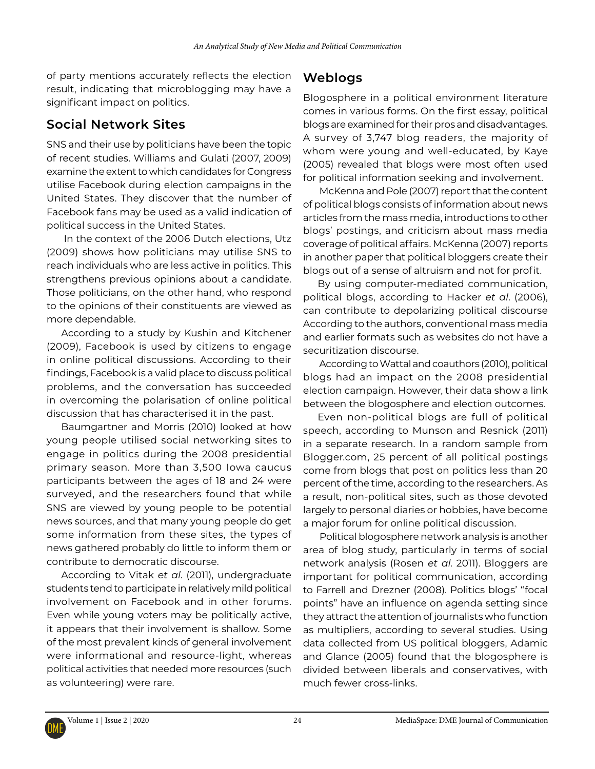of party mentions accurately reflects the election result, indicating that microblogging may have a significant impact on politics.

#### **Social Network Sites**

SNS and their use by politicians have been the topic of recent studies. Williams and Gulati (2007, 2009) examine the extent to which candidates for Congress utilise Facebook during election campaigns in the United States. They discover that the number of Facebook fans may be used as a valid indication of political success in the United States.

 In the context of the 2006 Dutch elections, Utz (2009) shows how politicians may utilise SNS to reach individuals who are less active in politics. This strengthens previous opinions about a candidate. Those politicians, on the other hand, who respond to the opinions of their constituents are viewed as more dependable.

According to a study by Kushin and Kitchener (2009), Facebook is used by citizens to engage in online political discussions. According to their findings, Facebook is a valid place to discuss political problems, and the conversation has succeeded in overcoming the polarisation of online political discussion that has characterised it in the past.

Baumgartner and Morris (2010) looked at how young people utilised social networking sites to engage in politics during the 2008 presidential primary season. More than 3,500 Iowa caucus participants between the ages of 18 and 24 were surveyed, and the researchers found that while SNS are viewed by young people to be potential news sources, and that many young people do get some information from these sites, the types of news gathered probably do little to inform them or contribute to democratic discourse.

According to Vitak *et al*. (2011), undergraduate students tend to participate in relatively mild political involvement on Facebook and in other forums. Even while young voters may be politically active, it appears that their involvement is shallow. Some of the most prevalent kinds of general involvement were informational and resource-light, whereas political activities that needed more resources (such as volunteering) were rare.

### **Weblogs**

Blogosphere in a political environment literature comes in various forms. On the first essay, political blogs are examined for their pros and disadvantages. A survey of 3,747 blog readers, the majority of whom were young and well-educated, by Kaye (2005) revealed that blogs were most often used for political information seeking and involvement.

 McKenna and Pole (2007) report that the content of political blogs consists of information about news articles from the mass media, introductions to other blogs' postings, and criticism about mass media coverage of political affairs. McKenna (2007) reports in another paper that political bloggers create their blogs out of a sense of altruism and not for profit.

By using computer-mediated communication, political blogs, according to Hacker *et al*. (2006), can contribute to depolarizing political discourse According to the authors, conventional mass media and earlier formats such as websites do not have a securitization discourse.

 According to Wattal and coauthors (2010), political blogs had an impact on the 2008 presidential election campaign. However, their data show a link between the blogosphere and election outcomes.

Even non-political blogs are full of political speech, according to Munson and Resnick (2011) in a separate research. In a random sample from Blogger.com, 25 percent of all political postings come from blogs that post on politics less than 20 percent of the time, according to the researchers. As a result, non-political sites, such as those devoted largely to personal diaries or hobbies, have become a major forum for online political discussion.

 Political blogosphere network analysis is another area of blog study, particularly in terms of social network analysis (Rosen *et al*. 2011). Bloggers are important for political communication, according to Farrell and Drezner (2008). Politics blogs' "focal points" have an influence on agenda setting since they attract the attention of journalists who function as multipliers, according to several studies. Using data collected from US political bloggers, Adamic and Glance (2005) found that the blogosphere is divided between liberals and conservatives, with much fewer cross-links.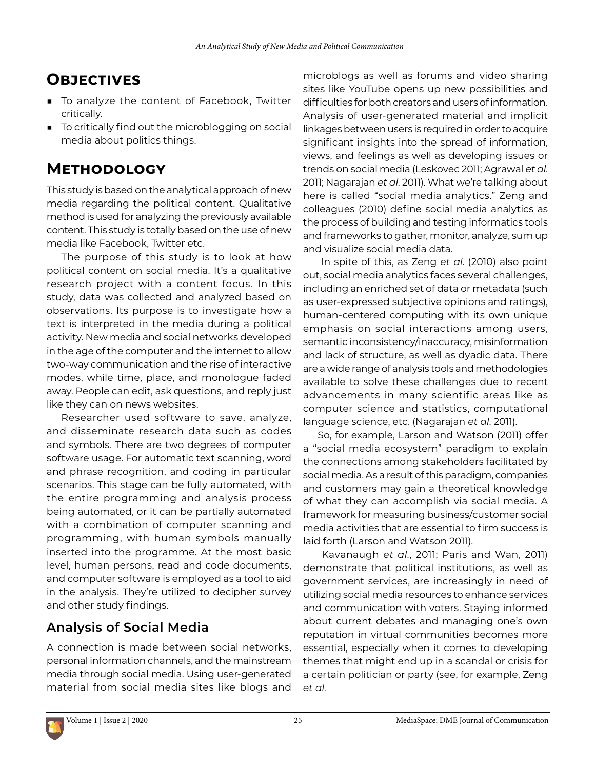## **Objectives**

- To analyze the content of Facebook, Twitter critically.
- To critically find out the microblogging on social media about politics things.

## **Methodology**

This study is based on the analytical approach of new media regarding the political content. Qualitative method is used for analyzing the previously available content. This study is totally based on the use of new media like Facebook, Twitter etc.

The purpose of this study is to look at how political content on social media. It's a qualitative research project with a content focus. In this study, data was collected and analyzed based on observations. Its purpose is to investigate how a text is interpreted in the media during a political activity. New media and social networks developed in the age of the computer and the internet to allow two-way communication and the rise of interactive modes, while time, place, and monologue faded away. People can edit, ask questions, and reply just like they can on news websites.

Researcher used software to save, analyze, and disseminate research data such as codes and symbols. There are two degrees of computer software usage. For automatic text scanning, word and phrase recognition, and coding in particular scenarios. This stage can be fully automated, with the entire programming and analysis process being automated, or it can be partially automated with a combination of computer scanning and programming, with human symbols manually inserted into the programme. At the most basic level, human persons, read and code documents, and computer software is employed as a tool to aid in the analysis. They're utilized to decipher survey and other study findings.

#### **Analysis of Social Media**

A connection is made between social networks, personal information channels, and the mainstream media through social media. Using user-generated material from social media sites like blogs and

microblogs as well as forums and video sharing sites like YouTube opens up new possibilities and difficulties for both creators and users of information. Analysis of user-generated material and implicit linkages between users is required in order to acquire significant insights into the spread of information, views, and feelings as well as developing issues or trends on social media (Leskovec 2011; Agrawal *et al*. 2011; Nagarajan *et al*. 2011). What we're talking about here is called "social media analytics." Zeng and colleagues (2010) define social media analytics as the process of building and testing informatics tools and frameworks to gather, monitor, analyze, sum up and visualize social media data.

 In spite of this, as Zeng *et al*. (2010) also point out, social media analytics faces several challenges, including an enriched set of data or metadata (such as user-expressed subjective opinions and ratings), human-centered computing with its own unique emphasis on social interactions among users, semantic inconsistency/inaccuracy, misinformation and lack of structure, as well as dyadic data. There are a wide range of analysis tools and methodologies available to solve these challenges due to recent advancements in many scientific areas like as computer science and statistics, computational language science, etc. (Nagarajan *et al*. 2011).

So, for example, Larson and Watson (2011) offer a "social media ecosystem" paradigm to explain the connections among stakeholders facilitated by social media. As a result of this paradigm, companies and customers may gain a theoretical knowledge of what they can accomplish via social media. A framework for measuring business/customer social media activities that are essential to firm success is laid forth (Larson and Watson 2011).

 Kavanaugh *et al*., 2011; Paris and Wan, 2011) demonstrate that political institutions, as well as government services, are increasingly in need of utilizing social media resources to enhance services and communication with voters. Staying informed about current debates and managing one's own reputation in virtual communities becomes more essential, especially when it comes to developing themes that might end up in a scandal or crisis for a certain politician or party (see, for example, Zeng *et al*.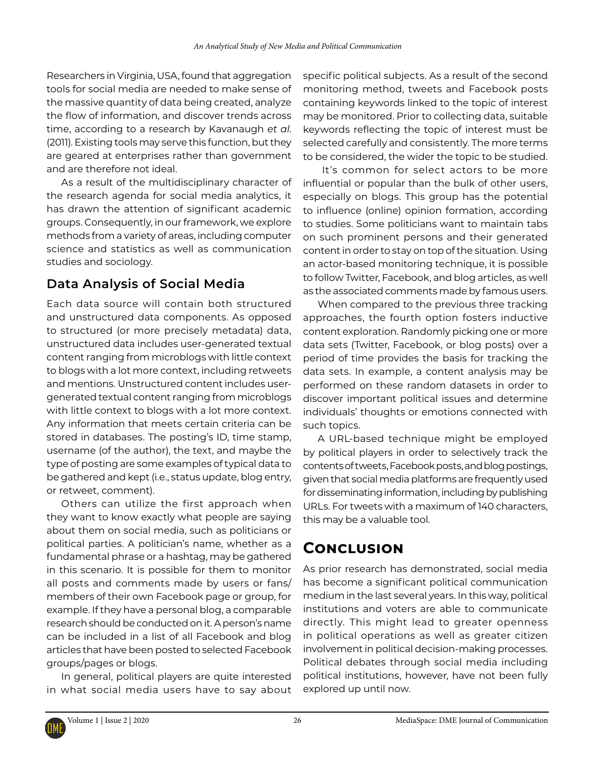Researchers in Virginia, USA, found that aggregation tools for social media are needed to make sense of the massive quantity of data being created, analyze the flow of information, and discover trends across time, according to a research by Kavanaugh *et al*. (2011). Existing tools may serve this function, but they are geared at enterprises rather than government and are therefore not ideal.

As a result of the multidisciplinary character of the research agenda for social media analytics, it has drawn the attention of significant academic groups. Consequently, in our framework, we explore methods from a variety of areas, including computer science and statistics as well as communication studies and sociology.

### **Data Analysis of Social Media**

Each data source will contain both structured and unstructured data components. As opposed to structured (or more precisely metadata) data, unstructured data includes user-generated textual content ranging from microblogs with little context to blogs with a lot more context, including retweets and mentions. Unstructured content includes usergenerated textual content ranging from microblogs with little context to blogs with a lot more context. Any information that meets certain criteria can be stored in databases. The posting's ID, time stamp, username (of the author), the text, and maybe the type of posting are some examples of typical data to be gathered and kept (i.e., status update, blog entry, or retweet, comment).

Others can utilize the first approach when they want to know exactly what people are saying about them on social media, such as politicians or political parties. A politician's name, whether as a fundamental phrase or a hashtag, may be gathered in this scenario. It is possible for them to monitor all posts and comments made by users or fans/ members of their own Facebook page or group, for example. If they have a personal blog, a comparable research should be conducted on it. A person's name can be included in a list of all Facebook and blog articles that have been posted to selected Facebook groups/pages or blogs.

In general, political players are quite interested in what social media users have to say about specific political subjects. As a result of the second monitoring method, tweets and Facebook posts containing keywords linked to the topic of interest may be monitored. Prior to collecting data, suitable keywords reflecting the topic of interest must be selected carefully and consistently. The more terms to be considered, the wider the topic to be studied.

 It's common for select actors to be more influential or popular than the bulk of other users, especially on blogs. This group has the potential to influence (online) opinion formation, according to studies. Some politicians want to maintain tabs on such prominent persons and their generated content in order to stay on top of the situation. Using an actor-based monitoring technique, it is possible to follow Twitter, Facebook, and blog articles, as well as the associated comments made by famous users.

When compared to the previous three tracking approaches, the fourth option fosters inductive content exploration. Randomly picking one or more data sets (Twitter, Facebook, or blog posts) over a period of time provides the basis for tracking the data sets. In example, a content analysis may be performed on these random datasets in order to discover important political issues and determine individuals' thoughts or emotions connected with such topics.

A URL-based technique might be employed by political players in order to selectively track the contents of tweets, Facebook posts, and blog postings, given that social media platforms are frequently used for disseminating information, including by publishing URLs. For tweets with a maximum of 140 characters, this may be a valuable tool.

## **Conclusion**

As prior research has demonstrated, social media has become a significant political communication medium in the last several years. In this way, political institutions and voters are able to communicate directly. This might lead to greater openness in political operations as well as greater citizen involvement in political decision-making processes. Political debates through social media including political institutions, however, have not been fully explored up until now.